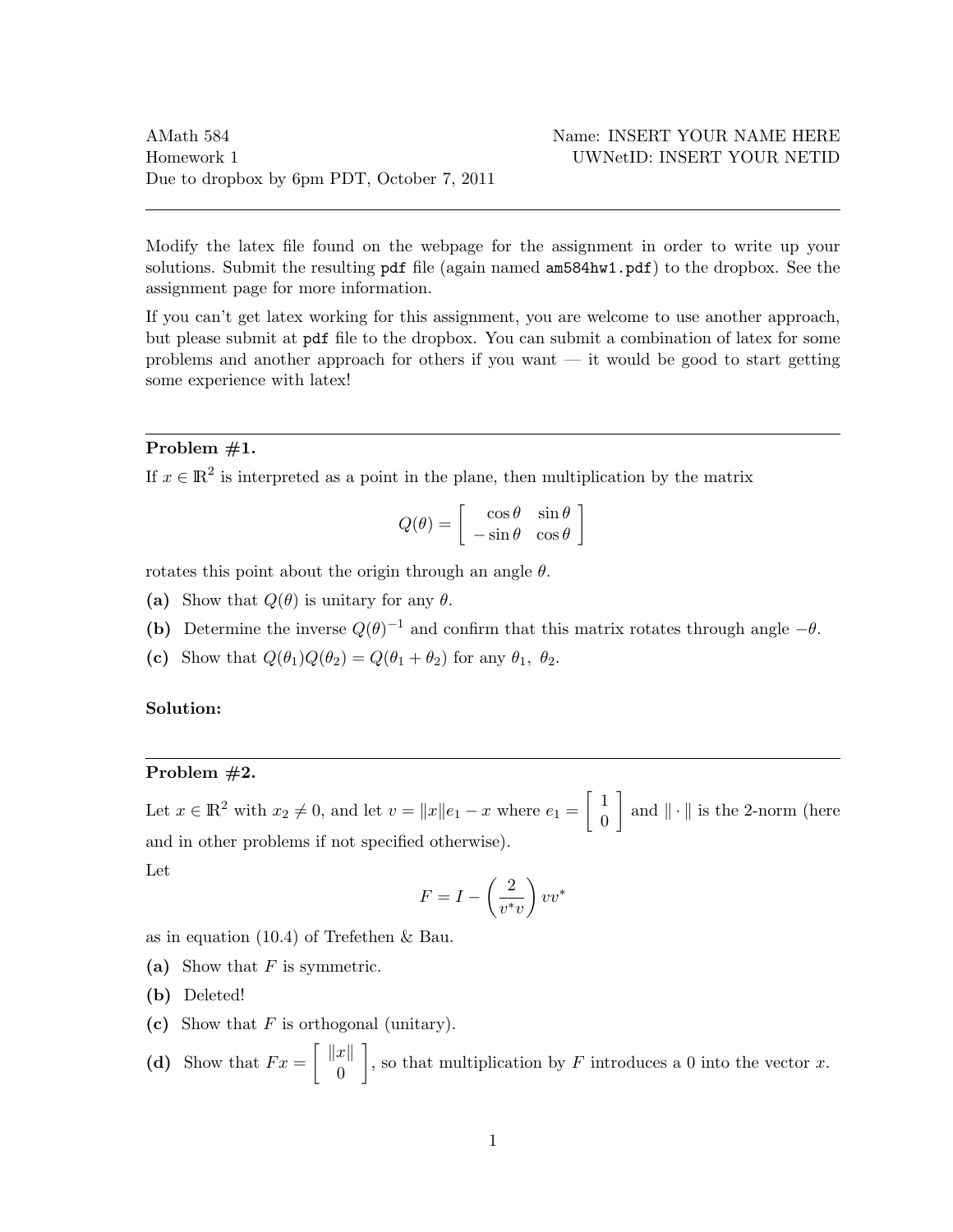Modify the latex file found on the webpage for the assignment in order to write up your solutions. Submit the resulting pdf file (again named am584hw1.pdf) to the dropbox. See the assignment page for more information.

If you can't get latex working for this assignment, you are welcome to use another approach, but please submit at pdf file to the dropbox. You can submit a combination of latex for some problems and another approach for others if you want — it would be good to start getting some experience with latex!

## Problem #1.

If  $x \in \mathbb{R}^2$  is interpreted as a point in the plane, then multiplication by the matrix

$$
Q(\theta) = \begin{bmatrix} \cos \theta & \sin \theta \\ -\sin \theta & \cos \theta \end{bmatrix}
$$

rotates this point about the origin through an angle  $\theta$ .

- (a) Show that  $Q(\theta)$  is unitary for any  $\theta$ .
- (b) Determine the inverse  $Q(\theta)^{-1}$  and confirm that this matrix rotates through angle  $-\theta$ .
- (c) Show that  $Q(\theta_1)Q(\theta_2) = Q(\theta_1 + \theta_2)$  for any  $\theta_1$ ,  $\theta_2$ .

## Solution:

## Problem #2.

Let  $x \in \mathbb{R}^2$  with  $x_2 \neq 0$ , and let  $v = ||x||e_1 - x$  where  $e_1 = \begin{bmatrix} 1 \\ 0 \end{bmatrix}$ 0 and  $\|\cdot\|$  is the 2-norm (here and in other problems if not specified otherwise).

Let

$$
F = I - \left(\frac{2}{v^*v}\right)vv^*
$$

as in equation (10.4) of Trefethen & Bau.

- (a) Show that  $F$  is symmetric.
- (b) Deleted!
- (c) Show that  $F$  is orthogonal (unitary).

(d) Show that 
$$
Fx = \begin{bmatrix} ||x|| \\ 0 \end{bmatrix}
$$
, so that multiplication by  $F$  introduces a 0 into the vector  $x$ .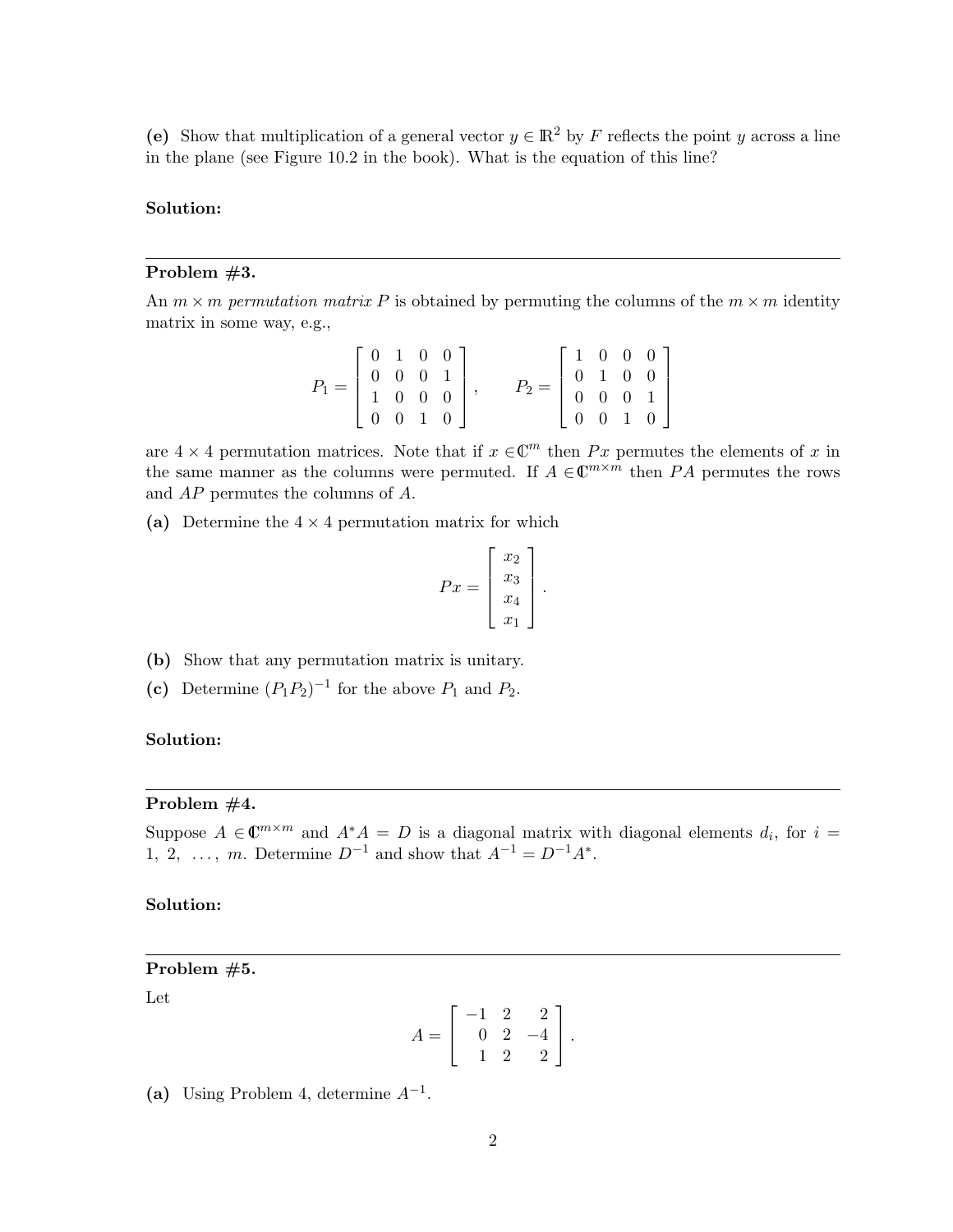(e) Show that multiplication of a general vector  $y \in \mathbb{R}^2$  by F reflects the point y across a line in the plane (see Figure 10.2 in the book). What is the equation of this line?

### Solution:

### Problem #3.

An  $m \times m$  permutation matrix P is obtained by permuting the columns of the  $m \times m$  identity matrix in some way, e.g.,

| $P_1 = \left[ \begin{array}{cccc} 0 & 1 & 0 & 0 \\ 0 & 0 & 0 & 1 \\ 1 & 0 & 0 & 0 \end{array} \right],$ |  |                 |                                                                                                                       |  |  |  |
|---------------------------------------------------------------------------------------------------------|--|-----------------|-----------------------------------------------------------------------------------------------------------------------|--|--|--|
|                                                                                                         |  |                 | $P_2 = \left[\begin{array}{cccc} 1 & 0 & 0 & 0 \\ 0 & 1 & 0 & 0 \\ 0 & 0 & 0 & 1 \\ 0 & 0 & 1 & 0 \end{array}\right]$ |  |  |  |
|                                                                                                         |  |                 |                                                                                                                       |  |  |  |
|                                                                                                         |  | $0 \t0 \t1 \t0$ |                                                                                                                       |  |  |  |

are  $4 \times 4$  permutation matrices. Note that if  $x \in \mathbb{C}^m$  then Px permutes the elements of x in the same manner as the columns were permuted. If  $A \in \mathbb{C}^{m \times m}$  then PA permutes the rows and AP permutes the columns of A.

(a) Determine the  $4 \times 4$  permutation matrix for which

$$
Px = \begin{bmatrix} x_2 \\ x_3 \\ x_4 \\ x_1 \end{bmatrix}.
$$

- (b) Show that any permutation matrix is unitary.
- (c) Determine  $(P_1P_2)^{-1}$  for the above  $P_1$  and  $P_2$ .

### Solution:

#### Problem #4.

Suppose  $A \in \mathbb{C}^{m \times m}$  and  $A^*A = D$  is a diagonal matrix with diagonal elements  $d_i$ , for  $i =$ 1, 2, ..., m. Determine  $D^{-1}$  and show that  $A^{-1} = D^{-1}A^*$ .

## Solution:

#### Problem #5.

Let

$$
A = \left[ \begin{array}{rrr} -1 & 2 & 2 \\ 0 & 2 & -4 \\ 1 & 2 & 2 \end{array} \right].
$$

(a) Using Problem 4, determine  $A^{-1}$ .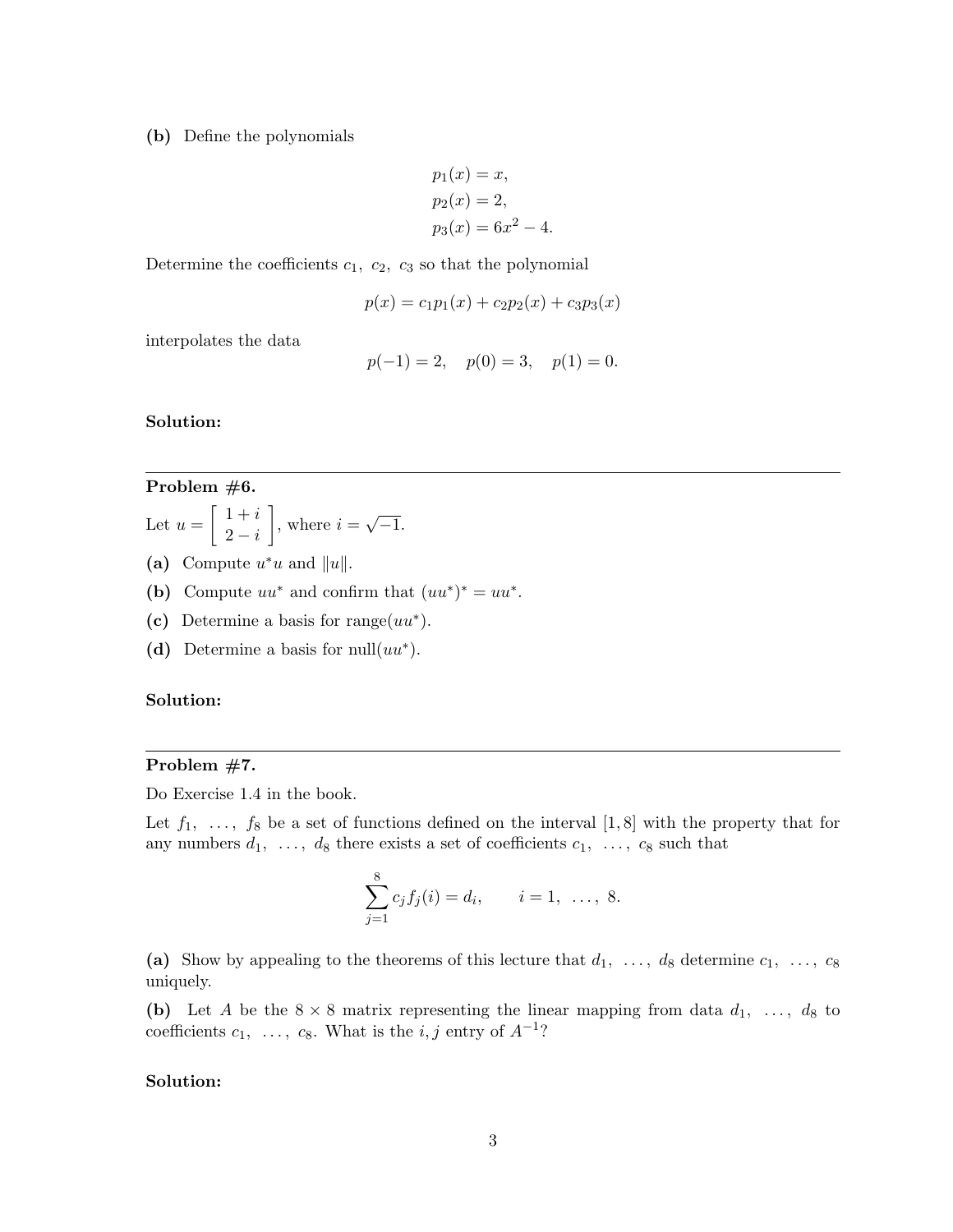(b) Define the polynomials

$$
p_1(x) = x,
$$
  
\n
$$
p_2(x) = 2,
$$
  
\n
$$
p_3(x) = 6x^2 - 4.
$$

Determine the coefficients  $c_1, c_2, c_3$  so that the polynomial

$$
p(x) = c_1 p_1(x) + c_2 p_2(x) + c_3 p_3(x)
$$

interpolates the data

$$
p(-1) = 2
$$
,  $p(0) = 3$ ,  $p(1) = 0$ .

Solution:

## Problem #6.

- Let  $u = \begin{bmatrix} 1+i \\ 2-i \end{bmatrix}$  $2-i$  $\Big]$ , where  $i =$ √  $\overline{-1}$ .
- (a) Compute  $u^*u$  and  $||u||$ .
- (b) Compute  $uu^*$  and confirm that  $(uu^*)^* = uu^*$ .
- (c) Determine a basis for range $(uu^*)$ .
- (d) Determine a basis for  $null(uu^*)$ .

### Solution:

### Problem #7.

Do Exercise 1.4 in the book.

Let  $f_1, \ldots, f_8$  be a set of functions defined on the interval [1,8] with the property that for any numbers  $d_1, \ldots, d_8$  there exists a set of coefficients  $c_1, \ldots, c_8$  such that

$$
\sum_{j=1}^{8} c_j f_j(i) = d_i, \qquad i = 1, \ \ldots, \ 8.
$$

(a) Show by appealing to the theorems of this lecture that  $d_1, \ldots, d_8$  determine  $c_1, \ldots, c_8$ uniquely.

(b) Let A be the  $8 \times 8$  matrix representing the linear mapping from data  $d_1, \ldots, d_8$  to coefficients  $c_1, \ldots, c_8$ . What is the  $i, j$  entry of  $A^{-1}$ ?

### Solution: